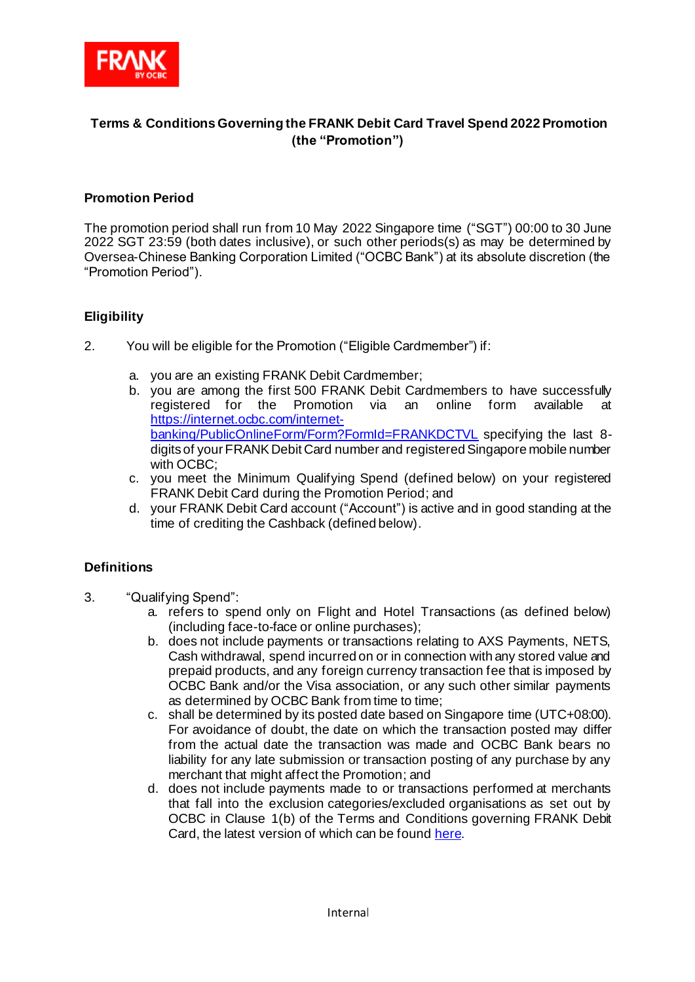

# **Terms & Conditions Governing the FRANK Debit Card Travel Spend 2022 Promotion (the "Promotion")**

## **Promotion Period**

The promotion period shall run from 10 May 2022 Singapore time ("SGT") 00:00 to 30 June 2022 SGT 23:59 (both dates inclusive), or such other periods(s) as may be determined by Oversea-Chinese Banking Corporation Limited ("OCBC Bank") at its absolute discretion (the "Promotion Period").

## **Eligibility**

- 2. You will be eligible for the Promotion ("Eligible Cardmember") if:
	- a. you are an existing FRANK Debit Cardmember;
	- b. you are among the first 500 FRANK Debit Cardmembers to have successfully registered for the Promotion via an online form available at [https://internet.ocbc.com/internet](https://internet.ocbc.com/internet-banking/PublicOnlineForm/Form?FormId=FRANKDCTVL)[banking/PublicOnlineForm/Form?FormId=FRANKDCTVL](https://internet.ocbc.com/internet-banking/PublicOnlineForm/Form?FormId=FRANKDCTVL) specifying the last 8 digits of your FRANK Debit Card number and registered Singapore mobile number with OCBC;
	- c. you meet the Minimum Qualifying Spend (defined below) on your registered FRANK Debit Card during the Promotion Period; and
	- d. your FRANK Debit Card account ("Account") is active and in good standing at the time of crediting the Cashback (defined below).

## **Definitions**

- 3. "Qualifying Spend":
	- a. refers to spend only on Flight and Hotel Transactions (as defined below) (including face-to-face or online purchases);
	- b. does not include payments or transactions relating to AXS Payments, NETS, Cash withdrawal, spend incurred on or in connection with any stored value and prepaid products, and any foreign currency transaction fee that is imposed by OCBC Bank and/or the Visa association, or any such other similar payments as determined by OCBC Bank from time to time;
	- c. shall be determined by its posted date based on Singapore time (UTC+08:00). For avoidance of doubt, the date on which the transaction posted may differ from the actual date the transaction was made and OCBC Bank bears no liability for any late submission or transaction posting of any purchase by any merchant that might affect the Promotion; and
	- d. does not include payments made to or transactions performed at merchants that fall into the exclusion categories/excluded organisations as set out by OCBC in Clause 1(b) of the Terms and Conditions governing FRANK Debit Card, the latest version of which can be foun[d here.](https://www.frankbyocbc.com/products/cards/debit-card#tnc)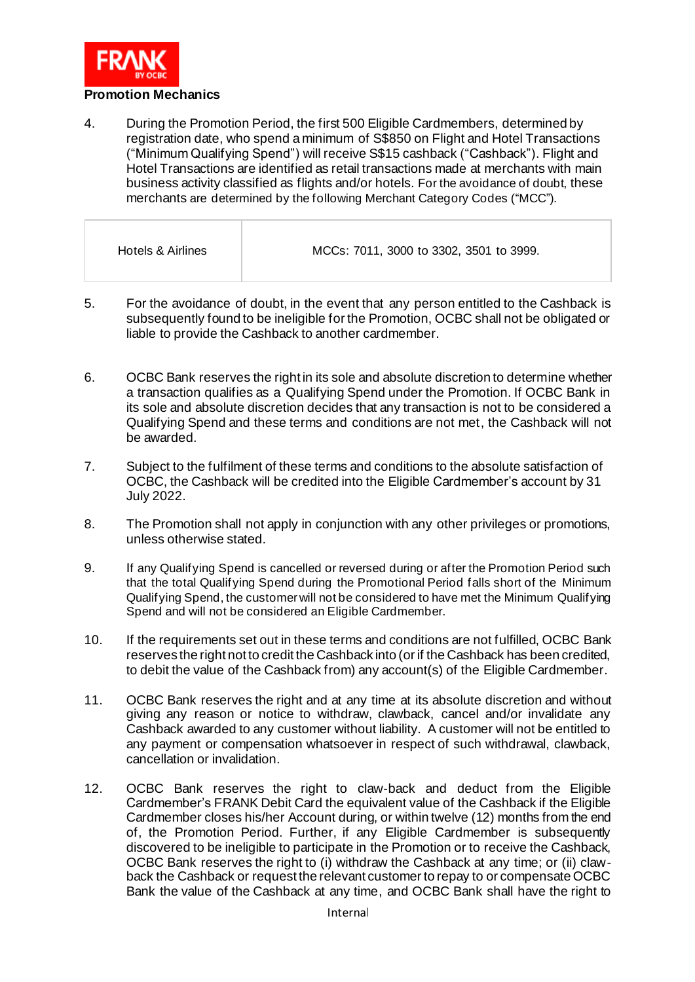

4. During the Promotion Period, the first 500 Eligible Cardmembers, determined by registration date, who spend a minimum of S\$850 on Flight and Hotel Transactions ("Minimum Qualifying Spend") will receive S\$15 cashback ("Cashback"). Flight and Hotel Transactions are identified as retail transactions made at merchants with main business activity classified as flights and/or hotels. For the avoidance of doubt, these merchants are determined by the following Merchant Category Codes ("MCC").

| Hotels & Airlines | MCCs: 7011, 3000 to 3302, 3501 to 3999. |
|-------------------|-----------------------------------------|
|                   |                                         |

- 5. For the avoidance of doubt, in the event that any person entitled to the Cashback is subsequently found to be ineligible for the Promotion, OCBC shall not be obligated or liable to provide the Cashback to another cardmember.
- 6. OCBC Bank reserves the right in its sole and absolute discretion to determine whether a transaction qualifies as a Qualifying Spend under the Promotion. If OCBC Bank in its sole and absolute discretion decides that any transaction is not to be considered a Qualifying Spend and these terms and conditions are not met, the Cashback will not be awarded.
- 7. Subject to the fulfilment of these terms and conditions to the absolute satisfaction of OCBC, the Cashback will be credited into the Eligible Cardmember's account by 31 July 2022.
- 8. The Promotion shall not apply in conjunction with any other privileges or promotions, unless otherwise stated.
- 9. If any Qualifying Spend is cancelled or reversed during or after the Promotion Period such that the total Qualifying Spend during the Promotional Period falls short of the Minimum Qualifying Spend, the customerwill not be considered to have met the Minimum Qualifying Spend and will not be considered an Eligible Cardmember.
- 10. If the requirements set out in these terms and conditions are not fulfilled, OCBC Bank reserves the right not to credit the Cashback into (or if the Cashback has been credited, to debit the value of the Cashback from) any account(s) of the Eligible Cardmember.
- 11. OCBC Bank reserves the right and at any time at its absolute discretion and without giving any reason or notice to withdraw, clawback, cancel and/or invalidate any Cashback awarded to any customer without liability. A customer will not be entitled to any payment or compensation whatsoever in respect of such withdrawal, clawback, cancellation or invalidation.
- 12. OCBC Bank reserves the right to claw-back and deduct from the Eligible Cardmember's FRANK Debit Card the equivalent value of the Cashback if the Eligible Cardmember closes his/her Account during, or within twelve (12) months from the end of, the Promotion Period. Further, if any Eligible Cardmember is subsequently discovered to be ineligible to participate in the Promotion or to receive the Cashback, OCBC Bank reserves the right to (i) withdraw the Cashback at any time; or (ii) clawback the Cashback or request the relevant customer to repay to or compensate OCBC Bank the value of the Cashback at any time, and OCBC Bank shall have the right to